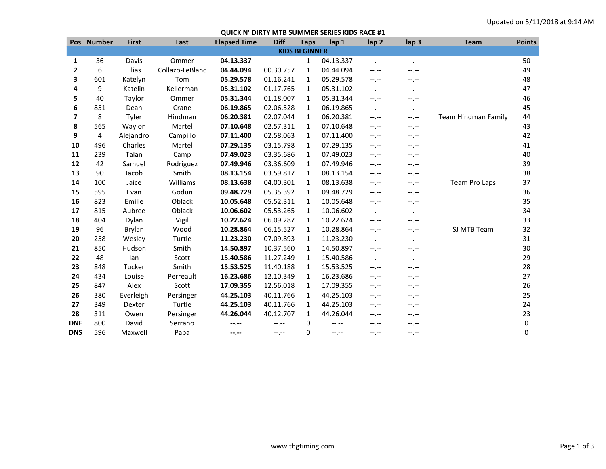## **QUICK N' DIRTY MTB SUMMER SERIES KIDS RACE #1**

|                      | Pos Number | <b>First</b>  | Last            | <b>Elapsed Time</b> | <b>Diff</b> | Laps         | lap 1       | lap <sub>2</sub> | lap <sub>3</sub> | <b>Team</b>         | <b>Points</b> |
|----------------------|------------|---------------|-----------------|---------------------|-------------|--------------|-------------|------------------|------------------|---------------------|---------------|
| <b>KIDS BEGINNER</b> |            |               |                 |                     |             |              |             |                  |                  |                     |               |
| 1                    | 36         | Davis         | Ommer           | 04.13.337           | ---         | 1            | 04.13.337   | $-1, -1$         | --.--            |                     | 50            |
| $\mathbf{2}$         | 6          | Elias         | Collazo-LeBlanc | 04.44.094           | 00.30.757   | 1            | 04.44.094   | $-1$             | --.--            |                     | 49            |
| 3                    | 601        | Katelyn       | Tom             | 05.29.578           | 01.16.241   | $\mathbf{1}$ | 05.29.578   | $-1$             | --.--            |                     | 48            |
| 4                    | 9          | Katelin       | Kellerman       | 05.31.102           | 01.17.765   | 1            | 05.31.102   | $-1, -1$         | $-1, -1$         |                     | 47            |
| 5                    | 40         | Taylor        | Ommer           | 05.31.344           | 01.18.007   | 1            | 05.31.344   | $-1, -1$         | --.--            |                     | 46            |
| 6                    | 851        | Dean          | Crane           | 06.19.865           | 02.06.528   | 1            | 06.19.865   | $-1$             | --.--            |                     | 45            |
| 7                    | 8          | Tyler         | Hindman         | 06.20.381           | 02.07.044   | 1            | 06.20.381   | $-1, -1$         | $-1, -1$         | Team Hindman Family | 44            |
| 8                    | 565        | Waylon        | Martel          | 07.10.648           | 02.57.311   | 1            | 07.10.648   | $-1$             | --.--            |                     | 43            |
| 9                    | 4          | Alejandro     | Campillo        | 07.11.400           | 02.58.063   | $\mathbf{1}$ | 07.11.400   | $-1$             | --.--            |                     | 42            |
| 10                   | 496        | Charles       | Martel          | 07.29.135           | 03.15.798   | 1            | 07.29.135   | $-1, -1$         | $-1, -1$         |                     | 41            |
| 11                   | 239        | Talan         | Camp            | 07.49.023           | 03.35.686   | 1            | 07.49.023   | $-1, -1$         | --.--            |                     | 40            |
| 12                   | 42         | Samuel        | Rodriguez       | 07.49.946           | 03.36.609   | 1            | 07.49.946   | $-1, -1$         | $-1, -1$         |                     | 39            |
| 13                   | 90         | Jacob         | Smith           | 08.13.154           | 03.59.817   | 1            | 08.13.154   | $-1, -1$         | $-1, -1$         |                     | 38            |
| 14                   | 100        | Jaice         | Williams        | 08.13.638           | 04.00.301   | 1            | 08.13.638   | $-1, -1$         | $-1, -1$         | Team Pro Laps       | 37            |
| 15                   | 595        | Evan          | Godun           | 09.48.729           | 05.35.392   | $\mathbf{1}$ | 09.48.729   | $-1$             | --.--            |                     | 36            |
| 16                   | 823        | Emilie        | Oblack          | 10.05.648           | 05.52.311   | 1            | 10.05.648   | $-1, -1$         | $-1, -1$         |                     | 35            |
| 17                   | 815        | Aubree        | Oblack          | 10.06.602           | 05.53.265   | 1            | 10.06.602   | $-1, -1$         | --.--            |                     | 34            |
| 18                   | 404        | Dylan         | Vigil           | 10.22.624           | 06.09.287   | $\mathbf{1}$ | 10.22.624   | $-1, -1$         | --.--            |                     | 33            |
| 19                   | 96         | <b>Brylan</b> | Wood            | 10.28.864           | 06.15.527   | $\mathbf{1}$ | 10.28.864   | $-1, -1$         | --.--            | SJ MTB Team         | 32            |
| 20                   | 258        | Wesley        | Turtle          | 11.23.230           | 07.09.893   | 1            | 11.23.230   | $-1$             | --.--            |                     | 31            |
| 21                   | 850        | Hudson        | Smith           | 14.50.897           | 10.37.560   | $\mathbf{1}$ | 14.50.897   | $-1$             | --.--            |                     | 30            |
| 22                   | 48         | lan           | Scott           | 15.40.586           | 11.27.249   | 1            | 15.40.586   | $-1, -1$         | --.--            |                     | 29            |
| 23                   | 848        | Tucker        | Smith           | 15.53.525           | 11.40.188   | 1            | 15.53.525   | $-1$             | --.--            |                     | 28            |
| 24                   | 434        | Louise        | Perreault       | 16.23.686           | 12.10.349   | $\mathbf{1}$ | 16.23.686   | $-1$             | --.--            |                     | 27            |
| 25                   | 847        | Alex          | Scott           | 17.09.355           | 12.56.018   | $\mathbf{1}$ | 17.09.355   | $-1, -1$         | --.--            |                     | 26            |
| 26                   | 380        | Everleigh     | Persinger       | 44.25.103           | 40.11.766   | 1            | 44.25.103   | $-1$             | --.--            |                     | 25            |
| 27                   | 349        | Dexter        | Turtle          | 44.25.103           | 40.11.766   | 1            | 44.25.103   | $-1$             | --.--            |                     | 24            |
| 28                   | 311        | Owen          | Persinger       | 44.26.044           | 40.12.707   | 1            | 44.26.044   | $-1, -1$         | --.--            |                     | 23            |
| <b>DNF</b>           | 800        | David         | Serrano         | --.--               | $-1, -1$    | 0            | $-1$ , $-1$ | $-1.1 -$         | --.--            |                     | 0             |
| <b>DNS</b>           | 596        | Maxwell       | Papa            | --.--               | $-1$ , $-1$ | 0            | $-1$ , $-1$ | $-1$ , $-1$      | --.--            |                     | 0             |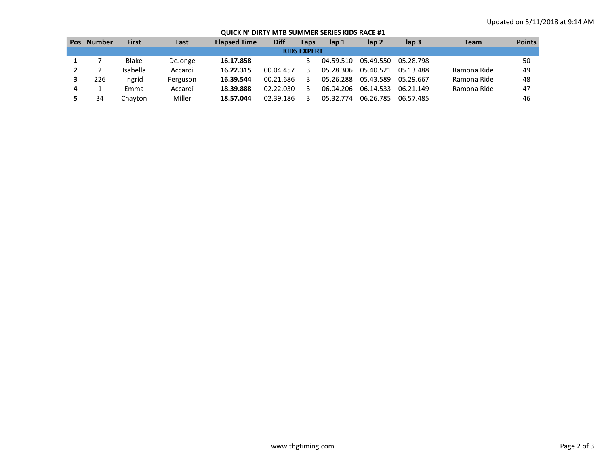## **QUICK N' DIRTY MTB SUMMER SERIES KIDS RACE #1**

| <b>Pos</b>         | Number | <b>First</b> | Last     | <b>Elapsed Time</b> | <b>Diff</b>                         | Laps | lap 1     | lap <sub>2</sub> | $\mathsf{lap} 3$ | Team        | <b>Points</b> |
|--------------------|--------|--------------|----------|---------------------|-------------------------------------|------|-----------|------------------|------------------|-------------|---------------|
| <b>KIDS EXPERT</b> |        |              |          |                     |                                     |      |           |                  |                  |             |               |
|                    |        | <b>Blake</b> | DeJonge  | 16.17.858           | $\hspace{0.05cm}---\hspace{0.05cm}$ |      | 04.59.510 | 05.49.550        | 05.28.798        |             | 50            |
|                    |        | Isabella     | Accardi  | 16.22.315           | 00.04.457                           |      | 05.28.306 | 05.40.521        | 05.13.488        | Ramona Ride | 49            |
|                    | 226    | Ingrid       | Ferguson | 16.39.544           | 00.21.686                           |      | 05.26.288 | 05.43.589        | 05.29.667        | Ramona Ride | 48            |
| 4                  |        | Emma         | Accardi  | 18.39.888           | 02.22.030                           | 3    | 06.04.206 | 06.14.533        | 06.21.149        | Ramona Ride | 47            |
|                    | 34     | Chavton      | Miller   | 18.57.044           | 02.39.186                           |      | 05.32.774 | 06.26.785        | 06.57.485        |             | 46            |